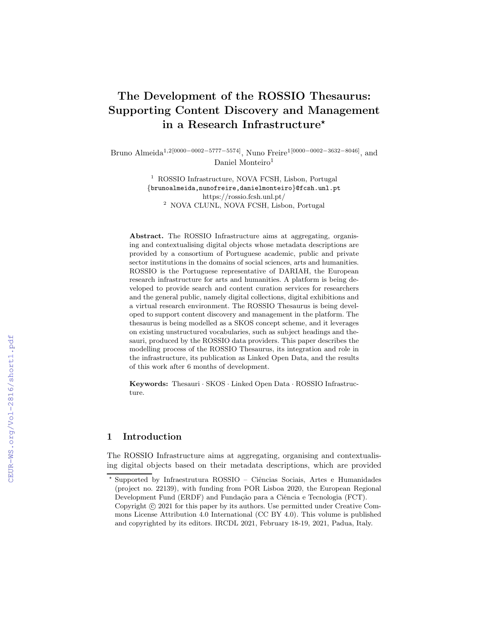# The Development of the ROSSIO Thesaurus: Supporting Content Discovery and Management in a Research Infrastructure<sup>\*</sup>

Bruno Almeida1,2[0000−0002−5777−5574], Nuno Freire1[0000−0002−3632−8046], and Daniel Monteiro<sup>1</sup>

> <sup>1</sup> ROSSIO Infrastructure, NOVA FCSH, Lisbon, Portugal {brunoalmeida,nunofreire,danielmonteiro}@fcsh.unl.pt https://rossio.fcsh.unl.pt/ <sup>2</sup> NOVA CLUNL, NOVA FCSH, Lisbon, Portugal

Abstract. The ROSSIO Infrastructure aims at aggregating, organising and contextualising digital objects whose metadata descriptions are provided by a consortium of Portuguese academic, public and private sector institutions in the domains of social sciences, arts and humanities. ROSSIO is the Portuguese representative of DARIAH, the European research infrastructure for arts and humanities. A platform is being developed to provide search and content curation services for researchers and the general public, namely digital collections, digital exhibitions and a virtual research environment. The ROSSIO Thesaurus is being developed to support content discovery and management in the platform. The thesaurus is being modelled as a SKOS concept scheme, and it leverages on existing unstructured vocabularies, such as subject headings and thesauri, produced by the ROSSIO data providers. This paper describes the modelling process of the ROSSIO Thesaurus, its integration and role in the infrastructure, its publication as Linked Open Data, and the results of this work after 6 months of development.

Keywords: Thesauri · SKOS · Linked Open Data · ROSSIO Infrastructure.

## 1 Introduction

The ROSSIO Infrastructure aims at aggregating, organising and contextualising digital objects based on their metadata descriptions, which are provided

<sup>\*</sup> Supported by Infraestrutura ROSSIO - Ciências Sociais, Artes e Humanidades (project no. 22139), with funding from POR Lisboa 2020, the European Regional Development Fund (ERDF) and Fundação para a Ciência e Tecnologia (FCT). Copyright  $\odot$  2021 for this paper by its authors. Use permitted under Creative Commons License Attribution 4.0 International (CC BY 4.0). This volume is published and copyrighted by its editors. IRCDL 2021, February 18-19, 2021, Padua, Italy.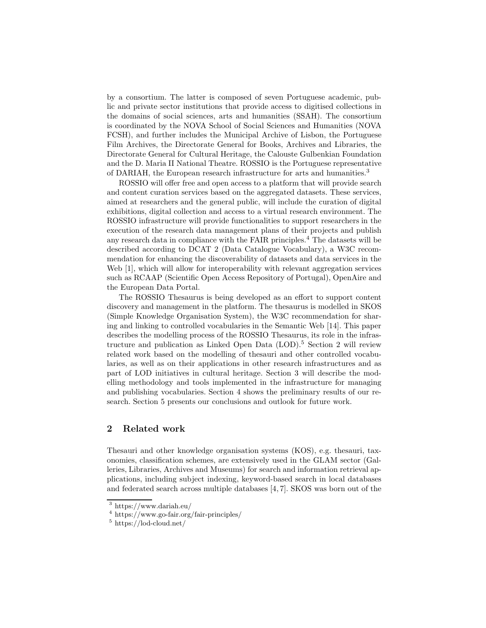by a consortium. The latter is composed of seven Portuguese academic, public and private sector institutions that provide access to digitised collections in the domains of social sciences, arts and humanities (SSAH). The consortium is coordinated by the NOVA School of Social Sciences and Humanities (NOVA FCSH), and further includes the Municipal Archive of Lisbon, the Portuguese Film Archives, the Directorate General for Books, Archives and Libraries, the Directorate General for Cultural Heritage, the Calouste Gulbenkian Foundation and the D. Maria II National Theatre. ROSSIO is the Portuguese representative of DARIAH, the European research infrastructure for arts and humanities.<sup>3</sup>

ROSSIO will offer free and open access to a platform that will provide search and content curation services based on the aggregated datasets. These services, aimed at researchers and the general public, will include the curation of digital exhibitions, digital collection and access to a virtual research environment. The ROSSIO infrastructure will provide functionalities to support researchers in the execution of the research data management plans of their projects and publish any research data in compliance with the FAIR principles.<sup>4</sup> The datasets will be described according to DCAT 2 (Data Catalogue Vocabulary), a W3C recommendation for enhancing the discoverability of datasets and data services in the Web [1], which will allow for interoperability with relevant aggregation services such as RCAAP (Scientific Open Access Repository of Portugal), OpenAire and the European Data Portal.

The ROSSIO Thesaurus is being developed as an effort to support content discovery and management in the platform. The thesaurus is modelled in SKOS (Simple Knowledge Organisation System), the W3C recommendation for sharing and linking to controlled vocabularies in the Semantic Web [14]. This paper describes the modelling process of the ROSSIO Thesaurus, its role in the infrastructure and publication as Linked Open Data  $(LOD)$ .<sup>5</sup> Section 2 will review related work based on the modelling of thesauri and other controlled vocabularies, as well as on their applications in other research infrastructures and as part of LOD initiatives in cultural heritage. Section 3 will describe the modelling methodology and tools implemented in the infrastructure for managing and publishing vocabularies. Section 4 shows the preliminary results of our research. Section 5 presents our conclusions and outlook for future work.

## 2 Related work

Thesauri and other knowledge organisation systems (KOS), e.g. thesauri, taxonomies, classification schemes, are extensively used in the GLAM sector (Galleries, Libraries, Archives and Museums) for search and information retrieval applications, including subject indexing, keyword-based search in local databases and federated search across multiple databases [4, 7]. SKOS was born out of the

<sup>3</sup> https://www.dariah.eu/

<sup>4</sup> https://www.go-fair.org/fair-principles/

 $5 \text{ https://lod-coloud.net/}$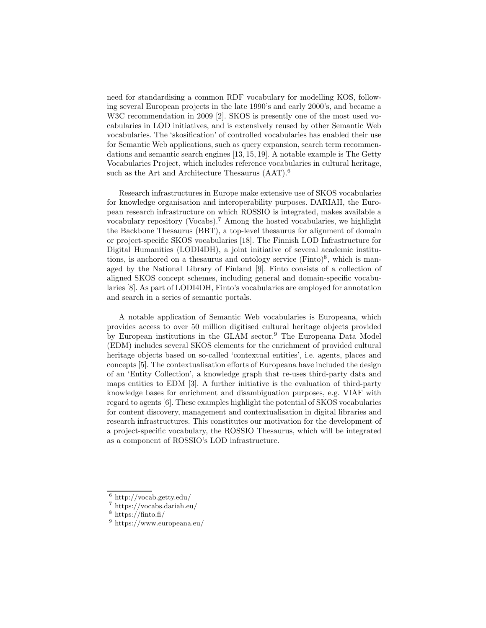need for standardising a common RDF vocabulary for modelling KOS, following several European projects in the late 1990's and early 2000's, and became a W3C recommendation in 2009 [2]. SKOS is presently one of the most used vocabularies in LOD initiatives, and is extensively reused by other Semantic Web vocabularies. The 'skosification' of controlled vocabularies has enabled their use for Semantic Web applications, such as query expansion, search term recommendations and semantic search engines [13, 15, 19]. A notable example is The Getty Vocabularies Project, which includes reference vocabularies in cultural heritage, such as the Art and Architecture Thesaurus (AAT).<sup>6</sup>

Research infrastructures in Europe make extensive use of SKOS vocabularies for knowledge organisation and interoperability purposes. DARIAH, the European research infrastructure on which ROSSIO is integrated, makes available a vocabulary repository (Vocabs).<sup>7</sup> Among the hosted vocabularies, we highlight the Backbone Thesaurus (BBT), a top-level thesaurus for alignment of domain or project-specific SKOS vocabularies [18]. The Finnish LOD Infrastructure for Digital Humanities (LODI4DH), a joint initiative of several academic institutions, is anchored on a thesaurus and ontology service  $(Finto)^8$ , which is managed by the National Library of Finland [9]. Finto consists of a collection of aligned SKOS concept schemes, including general and domain-specific vocabularies [8]. As part of LODI4DH, Finto's vocabularies are employed for annotation and search in a series of semantic portals.

A notable application of Semantic Web vocabularies is Europeana, which provides access to over 50 million digitised cultural heritage objects provided by European institutions in the GLAM sector.<sup>9</sup> The Europeana Data Model (EDM) includes several SKOS elements for the enrichment of provided cultural heritage objects based on so-called 'contextual entities', i.e. agents, places and concepts [5]. The contextualisation efforts of Europeana have included the design of an 'Entity Collection', a knowledge graph that re-uses third-party data and maps entities to EDM [3]. A further initiative is the evaluation of third-party knowledge bases for enrichment and disambiguation purposes, e.g. VIAF with regard to agents [6]. These examples highlight the potential of SKOS vocabularies for content discovery, management and contextualisation in digital libraries and research infrastructures. This constitutes our motivation for the development of a project-specific vocabulary, the ROSSIO Thesaurus, which will be integrated as a component of ROSSIO's LOD infrastructure.

 $6$  http://vocab.getty.edu/

<sup>7</sup> https://vocabs.dariah.eu/

 $8 \text{ https://finto.fi/}$ 

<sup>9</sup> https://www.europeana.eu/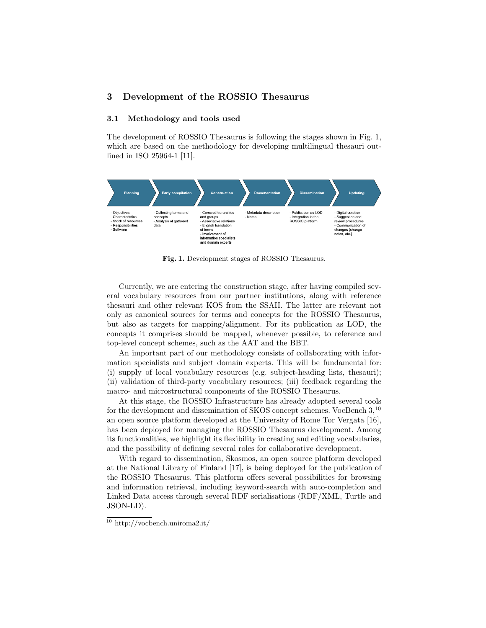## 3 Development of the ROSSIO Thesaurus

#### 3.1 Methodology and tools used

The development of ROSSIO Thesaurus is following the stages shown in Fig. 1, which are based on the methodology for developing multilingual thesauri outlined in ISO 25964-1 [11].



Fig. 1. Development stages of ROSSIO Thesaurus.

Currently, we are entering the construction stage, after having compiled several vocabulary resources from our partner institutions, along with reference thesauri and other relevant KOS from the SSAH. The latter are relevant not only as canonical sources for terms and concepts for the ROSSIO Thesaurus, but also as targets for mapping/alignment. For its publication as LOD, the concepts it comprises should be mapped, whenever possible, to reference and top-level concept schemes, such as the AAT and the BBT.

An important part of our methodology consists of collaborating with information specialists and subject domain experts. This will be fundamental for: (i) supply of local vocabulary resources (e.g. subject-heading lists, thesauri); (ii) validation of third-party vocabulary resources; (iii) feedback regarding the macro- and microstructural components of the ROSSIO Thesaurus.

At this stage, the ROSSIO Infrastructure has already adopted several tools for the development and dissemination of SKOS concept schemes. VocBench 3,<sup>10</sup> an open source platform developed at the University of Rome Tor Vergata [16], has been deployed for managing the ROSSIO Thesaurus development. Among its functionalities, we highlight its flexibility in creating and editing vocabularies, and the possibility of defining several roles for collaborative development.

With regard to dissemination, Skosmos, an open source platform developed at the National Library of Finland [17], is being deployed for the publication of the ROSSIO Thesaurus. This platform offers several possibilities for browsing and information retrieval, including keyword-search with auto-completion and Linked Data access through several RDF serialisations (RDF/XML, Turtle and JSON-LD).

 $\frac{10}{10}$  http://vocbench.uniroma2.it/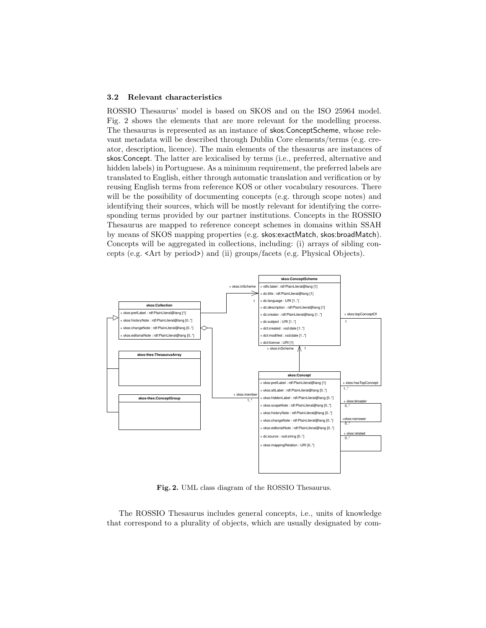#### 3.2 Relevant characteristics

ROSSIO Thesaurus' model is based on SKOS and on the ISO 25964 model. Fig. 2 shows the elements that are more relevant for the modelling process. The thesaurus is represented as an instance of skos:ConceptScheme, whose relevant metadata will be described through Dublin Core elements/terms (e.g. creator, description, licence). The main elements of the thesaurus are instances of skos:Concept. The latter are lexicalised by terms (i.e., preferred, alternative and hidden labels) in Portuguese. As a minimum requirement, the preferred labels are translated to English, either through automatic translation and verification or by reusing English terms from reference KOS or other vocabulary resources. There will be the possibility of documenting concepts (e.g. through scope notes) and identifying their sources, which will be mostly relevant for identifying the corresponding terms provided by our partner institutions. Concepts in the ROSSIO Thesaurus are mapped to reference concept schemes in domains within SSAH by means of SKOS mapping properties (e.g. skos:exactMatch, skos:broadMatch). Concepts will be aggregated in collections, including: (i) arrays of sibling concepts (e.g. <Art by period>) and (ii) groups/facets (e.g. Physical Objects).



Fig. 2. UML class diagram of the ROSSIO Thesaurus.

The ROSSIO Thesaurus includes general concepts, i.e., units of knowledge that correspond to a plurality of objects, which are usually designated by com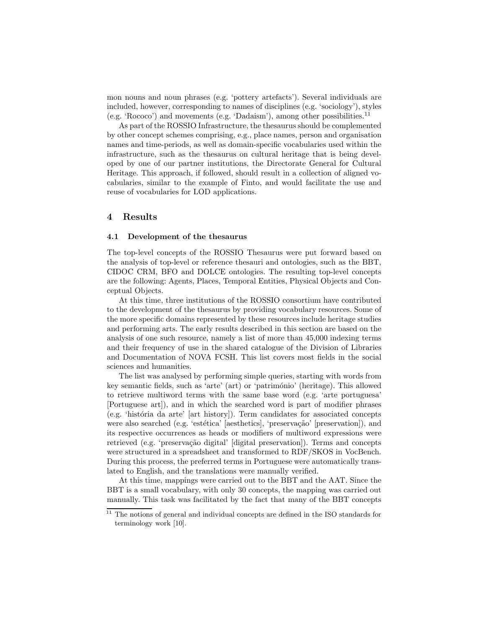mon nouns and noun phrases (e.g. 'pottery artefacts'). Several individuals are included, however, corresponding to names of disciplines (e.g. 'sociology'), styles (e.g. 'Rococo') and movements (e.g. 'Dadaism'), among other possibilities.<sup>11</sup>

As part of the ROSSIO Infrastructure, the thesaurus should be complemented by other concept schemes comprising, e.g., place names, person and organisation names and time-periods, as well as domain-specific vocabularies used within the infrastructure, such as the thesaurus on cultural heritage that is being developed by one of our partner institutions, the Directorate General for Cultural Heritage. This approach, if followed, should result in a collection of aligned vocabularies, similar to the example of Finto, and would facilitate the use and reuse of vocabularies for LOD applications.

#### 4 Results

#### 4.1 Development of the thesaurus

The top-level concepts of the ROSSIO Thesaurus were put forward based on the analysis of top-level or reference thesauri and ontologies, such as the BBT, CIDOC CRM, BFO and DOLCE ontologies. The resulting top-level concepts are the following: Agents, Places, Temporal Entities, Physical Objects and Conceptual Objects.

At this time, three institutions of the ROSSIO consortium have contributed to the development of the thesaurus by providing vocabulary resources. Some of the more specific domains represented by these resources include heritage studies and performing arts. The early results described in this section are based on the analysis of one such resource, namely a list of more than 45,000 indexing terms and their frequency of use in the shared catalogue of the Division of Libraries and Documentation of NOVA FCSH. This list covers most fields in the social sciences and humanities.

The list was analysed by performing simple queries, starting with words from key semantic fields, such as 'arte' (art) or 'património' (heritage). This allowed to retrieve multiword terms with the same base word (e.g. 'arte portuguesa' [Portuguese art]), and in which the searched word is part of modifier phrases  $(e.g. 'história da arte' [art history]).$  Term candidates for associated concepts were also searched (e.g. 'estética' [aesthetics], 'preservação' [preservation]), and its respective occurrences as heads or modifiers of multiword expressions were retrieved (e.g. 'preservação digital' [digital preservation]). Terms and concepts were structured in a spreadsheet and transformed to RDF/SKOS in VocBench. During this process, the preferred terms in Portuguese were automatically translated to English, and the translations were manually verified.

At this time, mappings were carried out to the BBT and the AAT. Since the BBT is a small vocabulary, with only 30 concepts, the mapping was carried out manually. This task was facilitated by the fact that many of the BBT concepts

 $11$  The notions of general and individual concepts are defined in the ISO standards for terminology work [10].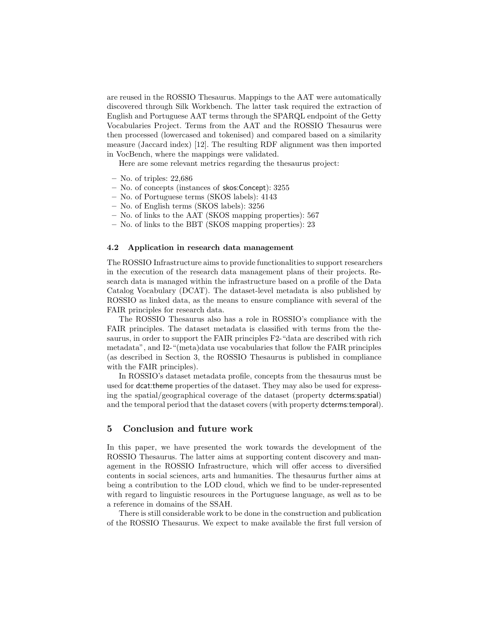are reused in the ROSSIO Thesaurus. Mappings to the AAT were automatically discovered through Silk Workbench. The latter task required the extraction of English and Portuguese AAT terms through the SPARQL endpoint of the Getty Vocabularies Project. Terms from the AAT and the ROSSIO Thesaurus were then processed (lowercased and tokenised) and compared based on a similarity measure (Jaccard index) [12]. The resulting RDF alignment was then imported in VocBench, where the mappings were validated.

Here are some relevant metrics regarding the thesaurus project:

- No. of triples: 22,686
- No. of concepts (instances of skos:Concept): 3255
- No. of Portuguese terms (SKOS labels): 4143
- No. of English terms (SKOS labels): 3256
- No. of links to the AAT (SKOS mapping properties): 567
- No. of links to the BBT (SKOS mapping properties): 23

#### 4.2 Application in research data management

The ROSSIO Infrastructure aims to provide functionalities to support researchers in the execution of the research data management plans of their projects. Research data is managed within the infrastructure based on a profile of the Data Catalog Vocabulary (DCAT). The dataset-level metadata is also published by ROSSIO as linked data, as the means to ensure compliance with several of the FAIR principles for research data.

The ROSSIO Thesaurus also has a role in ROSSIO's compliance with the FAIR principles. The dataset metadata is classified with terms from the thesaurus, in order to support the FAIR principles F2-"data are described with rich metadata", and I2-"(meta)data use vocabularies that follow the FAIR principles (as described in Section 3, the ROSSIO Thesaurus is published in compliance with the FAIR principles).

In ROSSIO's dataset metadata profile, concepts from the thesaurus must be used for dcat:theme properties of the dataset. They may also be used for expressing the spatial/geographical coverage of the dataset (property dcterms:spatial) and the temporal period that the dataset covers (with property dcterms:temporal).

## 5 Conclusion and future work

In this paper, we have presented the work towards the development of the ROSSIO Thesaurus. The latter aims at supporting content discovery and management in the ROSSIO Infrastructure, which will offer access to diversified contents in social sciences, arts and humanities. The thesaurus further aims at being a contribution to the LOD cloud, which we find to be under-represented with regard to linguistic resources in the Portuguese language, as well as to be a reference in domains of the SSAH.

There is still considerable work to be done in the construction and publication of the ROSSIO Thesaurus. We expect to make available the first full version of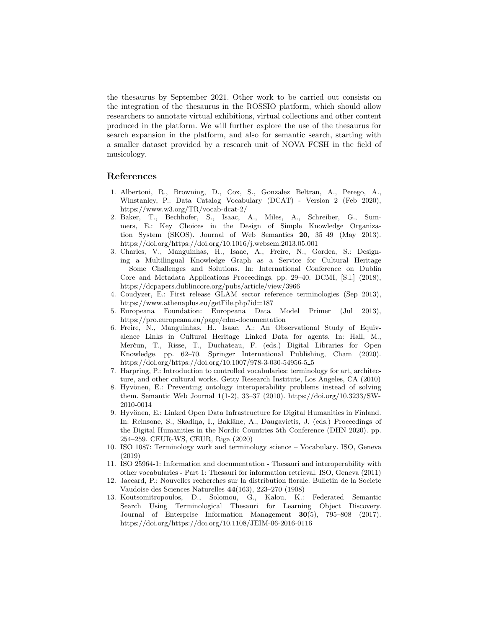the thesaurus by September 2021. Other work to be carried out consists on the integration of the thesaurus in the ROSSIO platform, which should allow researchers to annotate virtual exhibitions, virtual collections and other content produced in the platform. We will further explore the use of the thesaurus for search expansion in the platform, and also for semantic search, starting with a smaller dataset provided by a research unit of NOVA FCSH in the field of musicology.

## References

- 1. Albertoni, R., Browning, D., Cox, S., Gonzalez Beltran, A., Perego, A., Winstanley, P.: Data Catalog Vocabulary (DCAT) - Version 2 (Feb 2020), https://www.w3.org/TR/vocab-dcat-2/
- 2. Baker, T., Bechhofer, S., Isaac, A., Miles, A., Schreiber, G., Summers, E.: Key Choices in the Design of Simple Knowledge Organization System (SKOS). Journal of Web Semantics 20, 35–49 (May 2013). https://doi.org/https://doi.org/10.1016/j.websem.2013.05.001
- 3. Charles, V., Manguinhas, H., Isaac, A., Freire, N., Gordea, S.: Designing a Multilingual Knowledge Graph as a Service for Cultural Heritage – Some Challenges and Solutions. In: International Conference on Dublin Core and Metadata Applications Proceedings. pp. 29–40. DCMI, [S.l.] (2018), https://dcpapers.dublincore.org/pubs/article/view/3966
- 4. Coudyzer, E.: First release GLAM sector reference terminologies (Sep 2013), https://www.athenaplus.eu/getFile.php?id=187
- 5. Europeana Foundation: Europeana Data Model Primer (Jul 2013), https://pro.europeana.eu/page/edm-documentation
- 6. Freire, N., Manguinhas, H., Isaac, A.: An Observational Study of Equivalence Links in Cultural Heritage Linked Data for agents. In: Hall, M., Merčun, T., Risse, T., Duchateau, F. (eds.) Digital Libraries for Open Knowledge. pp. 62–70. Springer International Publishing, Cham (2020). https://doi.org/https://doi.org/10.1007/978-3-030-54956-5 5
- 7. Harpring, P.: Introduction to controlled vocabularies: terminology for art, architecture, and other cultural works. Getty Research Institute, Los Angeles, CA (2010)
- 8. Hyvönen, E.: Preventing ontology interoperability problems instead of solving them. Semantic Web Journal 1(1-2), 33–37 (2010). https://doi.org/10.3233/SW-2010-0014
- 9. Hyvönen, E.: Linked Open Data Infrastructure for Digital Humanities in Finland. In: Reinsone, S., Skadiņa, I., Baklāne, A., Daugavietis, J. (eds.) Proceedings of the Digital Humanities in the Nordic Countries 5th Conference (DHN 2020). pp. 254–259. CEUR-WS, CEUR, Riga (2020)
- 10. ISO 1087: Terminology work and terminology science Vocabulary. ISO, Geneva (2019)
- 11. ISO 25964-1: Information and documentation Thesauri and interoperability with other vocabularies - Part 1: Thesauri for information retrieval. ISO, Geneva (2011)
- 12. Jaccard, P.: Nouvelles recherches sur la distribution florale. Bulletin de la Societe Vaudoise des Sciences Naturelles 44(163), 223–270 (1908)
- 13. Koutsomitropoulos, D., Solomou, G., Kalou, K.: Federated Semantic Search Using Terminological Thesauri for Learning Object Discovery. Journal of Enterprise Information Management 30(5), 795–808 (2017). https://doi.org/https://doi.org/10.1108/JEIM-06-2016-0116